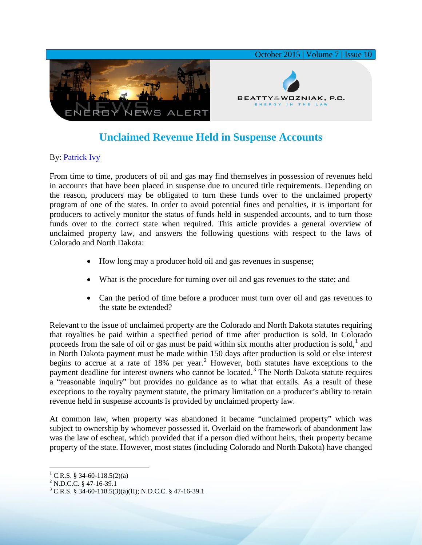

## **Unclaimed Revenue Held in Suspense Accounts**

## By: [Patrick Ivy](http://www.bwenergylaw.com/#!patrick-ivy/c13bk)

From time to time, producers of oil and gas may find themselves in possession of revenues held in accounts that have been placed in suspense due to uncured title requirements. Depending on the reason, producers may be obligated to turn these funds over to the unclaimed property program of one of the states. In order to avoid potential fines and penalties, it is important for producers to actively monitor the status of funds held in suspended accounts, and to turn those funds over to the correct state when required. This article provides a general overview of unclaimed property law, and answers the following questions with respect to the laws of Colorado and North Dakota:

- How long may a producer hold oil and gas revenues in suspense;
- What is the procedure for turning over oil and gas revenues to the state; and
- Can the period of time before a producer must turn over oil and gas revenues to the state be extended?

Relevant to the issue of unclaimed property are the Colorado and North Dakota statutes requiring that royalties be paid within a specified period of time after production is sold. In Colorado proceeds from the sale of oil or gas must be paid within six months after production is sold, $<sup>1</sup>$  $<sup>1</sup>$  $<sup>1</sup>$  and</sup> in North Dakota payment must be made within 150 days after production is sold or else interest begins to accrue at a rate of  $18\%$  per year.<sup>[2](#page-0-1)</sup> However, both statutes have exceptions to the payment deadline for interest owners who cannot be located.<sup>[3](#page-0-2)</sup> The North Dakota statute requires a "reasonable inquiry" but provides no guidance as to what that entails. As a result of these exceptions to the royalty payment statute, the primary limitation on a producer's ability to retain revenue held in suspense accounts is provided by unclaimed property law.

At common law, when property was abandoned it became "unclaimed property" which was subject to ownership by whomever possessed it. Overlaid on the framework of abandonment law was the law of escheat, which provided that if a person died without heirs, their property became property of the state. However, most states (including Colorado and North Dakota) have changed

<span id="page-0-2"></span><span id="page-0-1"></span>

<span id="page-0-0"></span><sup>&</sup>lt;sup>1</sup> C.R.S. § 34-60-118.5(2)(a)<br><sup>2</sup> N.D.C.C. § 47-16-39.1<br><sup>3</sup> C.R.S. § 34-60-118.5(3)(a)(II); N.D.C.C. § 47-16-39.1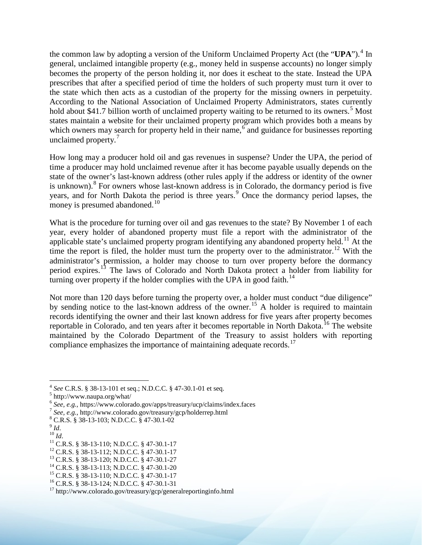the common law by adopting a version of the Uniform Unclaimed Property Act (the "UPA").<sup>[4](#page-1-0)</sup> In general, unclaimed intangible property (e.g., money held in suspense accounts) no longer simply becomes the property of the person holding it, nor does it escheat to the state. Instead the UPA prescribes that after a specified period of time the holders of such property must turn it over to the state which then acts as a custodian of the property for the missing owners in perpetuity. According to the National Association of Unclaimed Property Administrators, states currently hold about \$41.7 billion worth of unclaimed property waiting to be returned to its owners.<sup>[5](#page-1-1)</sup> Most states maintain a website for their unclaimed property program which provides both a means by which owners may search for property held in their name,<sup> $6$ </sup> and guidance for businesses reporting unclaimed property.<sup>[7](#page-1-3)</sup>

How long may a producer hold oil and gas revenues in suspense? Under the UPA, the period of time a producer may hold unclaimed revenue after it has become payable usually depends on the state of the owner's last-known address (other rules apply if the address or identity of the owner is unknown).<sup>[8](#page-1-4)</sup> For owners whose last-known address is in Colorado, the dormancy period is five years, and for North Dakota the period is three years.<sup>[9](#page-1-5)</sup> Once the dormancy period lapses, the money is presumed abandoned. $10$ 

What is the procedure for turning over oil and gas revenues to the state? By November 1 of each year, every holder of abandoned property must file a report with the administrator of the applicable state's unclaimed property program identifying any abandoned property held.<sup>[11](#page-1-7)</sup> At the time the report is filed, the holder must turn the property over to the administrator.<sup>[12](#page-1-8)</sup> With the administrator's permission, a holder may choose to turn over property before the dormancy period expires.[13](#page-1-9) The laws of Colorado and North Dakota protect a holder from liability for turning over property if the holder complies with the UPA in good faith.<sup>[14](#page-1-10)</sup>

Not more than 120 days before turning the property over, a holder must conduct "due diligence" by sending notice to the last-known address of the owner.<sup>[15](#page-1-11)</sup> A holder is required to maintain records identifying the owner and their last known address for five years after property becomes reportable in Colorado, and ten years after it becomes reportable in North Dakota.<sup>[16](#page-1-12)</sup> The website maintained by the Colorado Department of the Treasury to assist holders with reporting compliance emphasizes the importance of maintaining adequate records.<sup>[17](#page-1-13)</sup>

<span id="page-1-0"></span><sup>&</sup>lt;sup>4</sup> See C.R.S. § 38-13-101 et seq.; N.D.C.C. § 47-30.1-01 et seq.<br><sup>5</sup> http://www.naupa.org/what/<br><sup>6</sup> See, e.g., https://www.colorado.gov/apps/treasury/ucp/claims/index.faces

<span id="page-1-2"></span><span id="page-1-1"></span>

<sup>&</sup>lt;sup>6</sup> See, e.g., https://www.colorado.gov/apps/treasury/ucp/claims/index.faces<br>
<sup>7</sup> See, e.g., http://www.colorado.gov/treasury/gcp/holderrep.html<br>
<sup>8</sup> C.R.S. § 38-13-103; N.D.C.C. § 47-30.1-02<br>
<sup>10</sup> Id.<br>
<sup>11</sup> C.R.S. § 38-1

<span id="page-1-3"></span>

<span id="page-1-6"></span><span id="page-1-5"></span><span id="page-1-4"></span>

<span id="page-1-7"></span>

<span id="page-1-8"></span>

<span id="page-1-9"></span>

<span id="page-1-10"></span>

<span id="page-1-11"></span>

<span id="page-1-12"></span>

<span id="page-1-13"></span>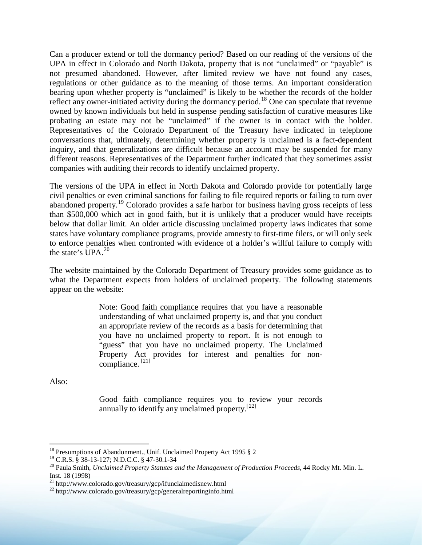Can a producer extend or toll the dormancy period? Based on our reading of the versions of the UPA in effect in Colorado and North Dakota, property that is not "unclaimed" or "payable" is not presumed abandoned. However, after limited review we have not found any cases, regulations or other guidance as to the meaning of those terms. An important consideration bearing upon whether property is "unclaimed" is likely to be whether the records of the holder reflect any owner-initiated activity during the dormancy period.<sup>[18](#page-2-0)</sup> One can speculate that revenue owned by known individuals but held in suspense pending satisfaction of curative measures like probating an estate may not be "unclaimed" if the owner is in contact with the holder. Representatives of the Colorado Department of the Treasury have indicated in telephone conversations that, ultimately, determining whether property is unclaimed is a fact-dependent inquiry, and that generalizations are difficult because an account may be suspended for many different reasons. Representatives of the Department further indicated that they sometimes assist companies with auditing their records to identify unclaimed property.

The versions of the UPA in effect in North Dakota and Colorado provide for potentially large civil penalties or even criminal sanctions for failing to file required reports or failing to turn over abandoned property.[19](#page-2-1) Colorado provides a safe harbor for business having gross receipts of less than \$500,000 which act in good faith, but it is unlikely that a producer would have receipts below that dollar limit. An older article discussing unclaimed property laws indicates that some states have voluntary compliance programs, provide amnesty to first-time filers, or will only seek to enforce penalties when confronted with evidence of a holder's willful failure to comply with the state's  $UPA<sup>20</sup>$  $UPA<sup>20</sup>$  $UPA<sup>20</sup>$ 

The website maintained by the Colorado Department of Treasury provides some guidance as to what the Department expects from holders of unclaimed property. The following statements appear on the website:

> Note: Good faith compliance requires that you have a reasonable understanding of what unclaimed property is, and that you conduct an appropriate review of the records as a basis for determining that you have no unclaimed property to report. It is not enough to "guess" that you have no unclaimed property. The Unclaimed Property Act provides for interest and penalties for noncompliance. [[21\]](#page-2-3)

Also:

Good faith compliance requires you to review your records annually to identify any unclaimed property. $[22]$  $[22]$  $[22]$ 

<span id="page-2-0"></span><sup>&</sup>lt;sup>18</sup> Presumptions of Abandonment., Unif. Unclaimed Property Act 1995 § 2<sup>19</sup> C.R.S. § 38-13-127; N.D.C.C. § 47-30.1-34

<span id="page-2-1"></span>

<span id="page-2-2"></span><sup>&</sup>lt;sup>20</sup> Paula Smith, *Unclaimed Property Statutes and the Management of Production Proceeds*, 44 Rocky Mt. Min. L. Inst. 18 (1998)

<span id="page-2-4"></span><span id="page-2-3"></span><sup>&</sup>lt;sup>21</sup> http://www.colorado.gov/treasury/gcp/ifunclaimedisnew.html<br><sup>22</sup> http://www.colorado.gov/treasury/gcp/generalreportinginfo.html